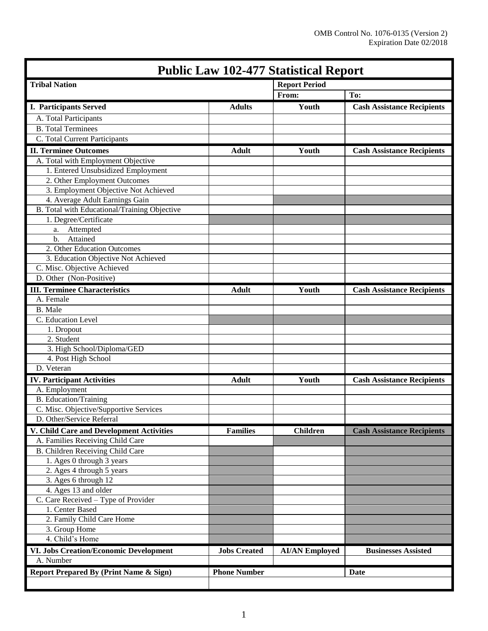| <b>Public Law 102-477 Statistical Report</b>  |                                    |                       |                                   |
|-----------------------------------------------|------------------------------------|-----------------------|-----------------------------------|
| <b>Tribal Nation</b>                          |                                    | <b>Report Period</b>  |                                   |
|                                               |                                    | From:                 | To:                               |
| <b>I. Participants Served</b>                 | <b>Adults</b>                      | Youth                 | <b>Cash Assistance Recipients</b> |
| A. Total Participants                         |                                    |                       |                                   |
| <b>B.</b> Total Terminees                     |                                    |                       |                                   |
| C. Total Current Participants                 |                                    |                       |                                   |
| <b>II. Terminee Outcomes</b>                  | <b>Adult</b>                       | Youth                 | <b>Cash Assistance Recipients</b> |
| A. Total with Employment Objective            |                                    |                       |                                   |
| 1. Entered Unsubsidized Employment            |                                    |                       |                                   |
| 2. Other Employment Outcomes                  |                                    |                       |                                   |
| 3. Employment Objective Not Achieved          |                                    |                       |                                   |
| 4. Average Adult Earnings Gain                |                                    |                       |                                   |
| B. Total with Educational/Training Objective  |                                    |                       |                                   |
| 1. Degree/Certificate                         |                                    |                       |                                   |
| Attempted<br>a.                               |                                    |                       |                                   |
| Attained<br>$b$ .                             |                                    |                       |                                   |
| 2. Other Education Outcomes                   |                                    |                       |                                   |
| 3. Education Objective Not Achieved           |                                    |                       |                                   |
| C. Misc. Objective Achieved                   |                                    |                       |                                   |
| D. Other (Non-Positive)                       |                                    |                       |                                   |
| <b>III. Terminee Characteristics</b>          | <b>Adult</b>                       | Youth                 | <b>Cash Assistance Recipients</b> |
| A. Female                                     |                                    |                       |                                   |
| <b>B.</b> Male                                |                                    |                       |                                   |
| C. Education Level                            |                                    |                       |                                   |
| 1. Dropout                                    |                                    |                       |                                   |
| 2. Student                                    |                                    |                       |                                   |
| 3. High School/Diploma/GED                    |                                    |                       |                                   |
| 4. Post High School                           |                                    |                       |                                   |
| D. Veteran                                    |                                    |                       |                                   |
| <b>IV.</b> Participant Activities             | <b>Adult</b>                       | Youth                 | <b>Cash Assistance Recipients</b> |
| A. Employment                                 |                                    |                       |                                   |
| <b>B.</b> Education/Training                  |                                    |                       |                                   |
| C. Misc. Objective/Supportive Services        |                                    |                       |                                   |
| D. Other/Service Referral                     |                                    |                       |                                   |
| V. Child Care and Development Activities      | <b>Families</b>                    | <b>Children</b>       | <b>Cash Assistance Recipients</b> |
| A. Families Receiving Child Care              |                                    |                       |                                   |
| B. Children Receiving Child Care              |                                    |                       |                                   |
| 1. Ages 0 through 3 years                     |                                    |                       |                                   |
| 2. Ages 4 through 5 years                     |                                    |                       |                                   |
| 3. Ages 6 through 12                          |                                    |                       |                                   |
| 4. Ages 13 and older                          |                                    |                       |                                   |
| C. Care Received - Type of Provider           |                                    |                       |                                   |
| 1. Center Based                               |                                    |                       |                                   |
| 2. Family Child Care Home                     |                                    |                       |                                   |
| 3. Group Home                                 |                                    |                       |                                   |
| 4. Child's Home                               |                                    |                       |                                   |
| <b>VI. Jobs Creation/Economic Development</b> | <b>Jobs Created</b>                | <b>AI/AN Employed</b> | <b>Businesses Assisted</b>        |
| A. Number                                     |                                    |                       |                                   |
| Report Prepared By (Print Name & Sign)        | <b>Phone Number</b><br><b>Date</b> |                       |                                   |
|                                               |                                    |                       |                                   |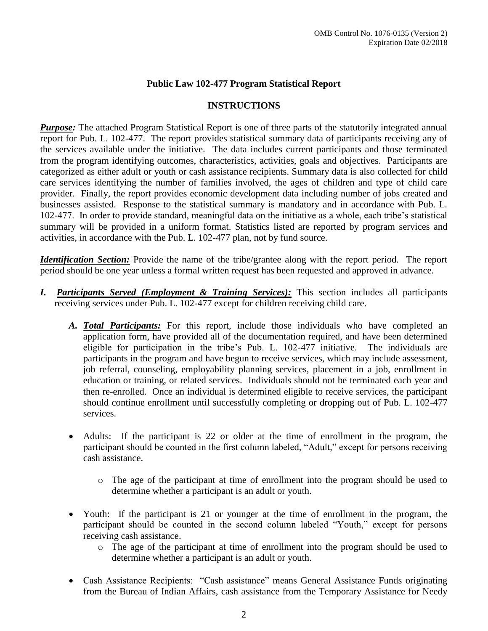# **Public Law 102-477 Program Statistical Report**

### **INSTRUCTIONS**

*Purpose:* The attached Program Statistical Report is one of three parts of the statutorily integrated annual report for Pub. L. 102-477. The report provides statistical summary data of participants receiving any of the services available under the initiative. The data includes current participants and those terminated from the program identifying outcomes, characteristics, activities, goals and objectives. Participants are categorized as either adult or youth or cash assistance recipients. Summary data is also collected for child care services identifying the number of families involved, the ages of children and type of child care provider. Finally, the report provides economic development data including number of jobs created and businesses assisted. Response to the statistical summary is mandatory and in accordance with Pub. L. 102-477. In order to provide standard, meaningful data on the initiative as a whole, each tribe's statistical summary will be provided in a uniform format. Statistics listed are reported by program services and activities, in accordance with the Pub. L. 102-477 plan, not by fund source.

*Identification Section:* Provide the name of the tribe/grantee along with the report period. The report period should be one year unless a formal written request has been requested and approved in advance.

- *I. Participants Served (Employment & Training Services):* This section includes all participants receiving services under Pub. L. 102-477 except for children receiving child care.
	- *A. Total Participants:* For this report, include those individuals who have completed an application form, have provided all of the documentation required, and have been determined eligible for participation in the tribe's Pub. L. 102-477 initiative. The individuals are participants in the program and have begun to receive services, which may include assessment, job referral, counseling, employability planning services, placement in a job, enrollment in education or training, or related services. Individuals should not be terminated each year and then re-enrolled. Once an individual is determined eligible to receive services, the participant should continue enrollment until successfully completing or dropping out of Pub. L. 102-477 services.
	- Adults: If the participant is 22 or older at the time of enrollment in the program, the participant should be counted in the first column labeled, "Adult," except for persons receiving cash assistance.
		- o The age of the participant at time of enrollment into the program should be used to determine whether a participant is an adult or youth.
	- Youth: If the participant is 21 or younger at the time of enrollment in the program, the participant should be counted in the second column labeled "Youth," except for persons receiving cash assistance.
		- o The age of the participant at time of enrollment into the program should be used to determine whether a participant is an adult or youth.
	- Cash Assistance Recipients: "Cash assistance" means General Assistance Funds originating from the Bureau of Indian Affairs, cash assistance from the Temporary Assistance for Needy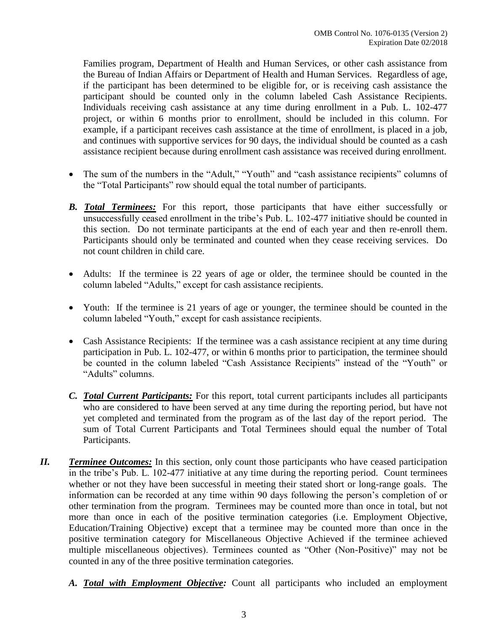Families program, Department of Health and Human Services, or other cash assistance from the Bureau of Indian Affairs or Department of Health and Human Services. Regardless of age, if the participant has been determined to be eligible for, or is receiving cash assistance the participant should be counted only in the column labeled Cash Assistance Recipients. Individuals receiving cash assistance at any time during enrollment in a Pub. L. 102-477 project, or within 6 months prior to enrollment, should be included in this column. For example, if a participant receives cash assistance at the time of enrollment, is placed in a job, and continues with supportive services for 90 days, the individual should be counted as a cash assistance recipient because during enrollment cash assistance was received during enrollment.

- The sum of the numbers in the "Adult," "Youth" and "cash assistance recipients" columns of the "Total Participants" row should equal the total number of participants.
- *B. Total Terminees:* For this report, those participants that have either successfully or unsuccessfully ceased enrollment in the tribe's Pub. L. 102-477 initiative should be counted in this section. Do not terminate participants at the end of each year and then re-enroll them. Participants should only be terminated and counted when they cease receiving services. Do not count children in child care.
- Adults: If the terminee is 22 years of age or older, the terminee should be counted in the column labeled "Adults," except for cash assistance recipients.
- Youth: If the terminee is 21 years of age or younger, the terminee should be counted in the column labeled "Youth," except for cash assistance recipients.
- Cash Assistance Recipients: If the terminee was a cash assistance recipient at any time during participation in Pub. L. 102-477, or within 6 months prior to participation, the terminee should be counted in the column labeled "Cash Assistance Recipients" instead of the "Youth" or "Adults" columns.
- *C. Total Current Participants:* For this report, total current participants includes all participants who are considered to have been served at any time during the reporting period, but have not yet completed and terminated from the program as of the last day of the report period. The sum of Total Current Participants and Total Terminees should equal the number of Total Participants.
- *II. Terminee Outcomes:* In this section, only count those participants who have ceased participation in the tribe's Pub. L. 102-477 initiative at any time during the reporting period. Count terminees whether or not they have been successful in meeting their stated short or long-range goals. The information can be recorded at any time within 90 days following the person's completion of or other termination from the program. Terminees may be counted more than once in total, but not more than once in each of the positive termination categories (i.e. Employment Objective, Education/Training Objective) except that a terminee may be counted more than once in the positive termination category for Miscellaneous Objective Achieved if the terminee achieved multiple miscellaneous objectives). Terminees counted as "Other (Non-Positive)" may not be counted in any of the three positive termination categories.
	- *A. Total with Employment Objective:* Count all participants who included an employment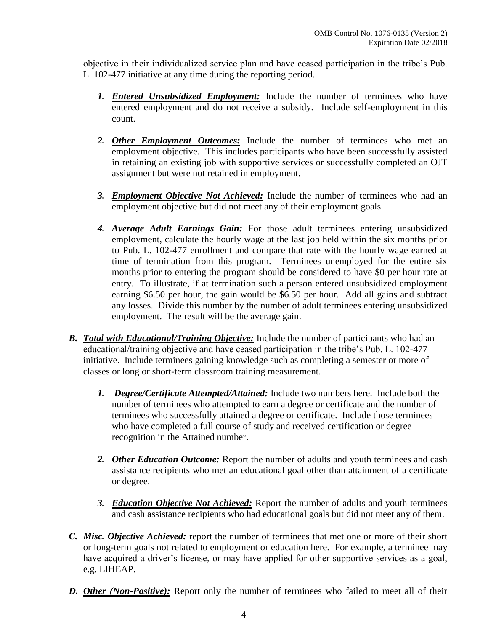objective in their individualized service plan and have ceased participation in the tribe's Pub. L. 102-477 initiative at any time during the reporting period..

- *1. Entered Unsubsidized Employment:* Include the number of terminees who have entered employment and do not receive a subsidy. Include self-employment in this count.
- *2. Other Employment Outcomes:* Include the number of terminees who met an employment objective. This includes participants who have been successfully assisted in retaining an existing job with supportive services or successfully completed an OJT assignment but were not retained in employment.
- *3. Employment Objective Not Achieved:* Include the number of terminees who had an employment objective but did not meet any of their employment goals.
- *4. Average Adult Earnings Gain:* For those adult terminees entering unsubsidized employment, calculate the hourly wage at the last job held within the six months prior to Pub. L. 102-477 enrollment and compare that rate with the hourly wage earned at time of termination from this program. Terminees unemployed for the entire six months prior to entering the program should be considered to have \$0 per hour rate at entry. To illustrate, if at termination such a person entered unsubsidized employment earning \$6.50 per hour, the gain would be \$6.50 per hour. Add all gains and subtract any losses. Divide this number by the number of adult terminees entering unsubsidized employment. The result will be the average gain.
- *B. Total with Educational/Training Objective:* Include the number of participants who had an educational/training objective and have ceased participation in the tribe's Pub. L. 102-477 initiative. Include terminees gaining knowledge such as completing a semester or more of classes or long or short-term classroom training measurement.
	- *1. Degree/Certificate Attempted/Attained:* Include two numbers here. Include both the number of terminees who attempted to earn a degree or certificate and the number of terminees who successfully attained a degree or certificate. Include those terminees who have completed a full course of study and received certification or degree recognition in the Attained number.
	- *2. Other Education Outcome:* Report the number of adults and youth terminees and cash assistance recipients who met an educational goal other than attainment of a certificate or degree.
	- *3. Education Objective Not Achieved:* Report the number of adults and youth terminees and cash assistance recipients who had educational goals but did not meet any of them.
- *C. Misc. Objective Achieved:* report the number of terminees that met one or more of their short or long-term goals not related to employment or education here. For example, a terminee may have acquired a driver's license, or may have applied for other supportive services as a goal, e.g. LIHEAP.
- **D. Other** (Non-Positive): Report only the number of terminees who failed to meet all of their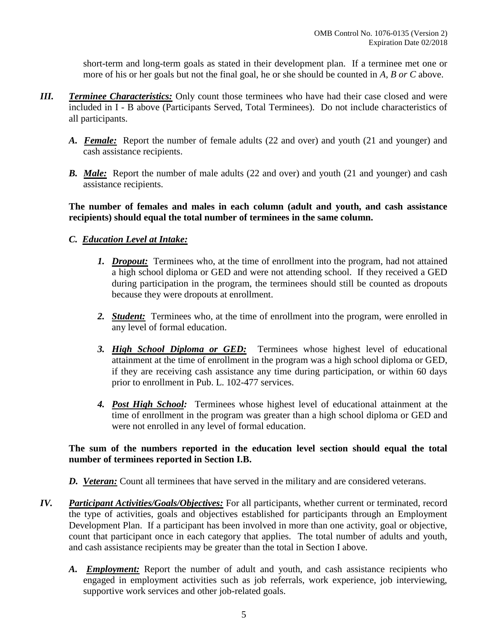short-term and long-term goals as stated in their development plan. If a terminee met one or more of his or her goals but not the final goal, he or she should be counted in *A, B or C* above.

- *III. Terminee Characteristics:* Only count those terminees who have had their case closed and were included in I - B above (Participants Served, Total Terminees). Do not include characteristics of all participants.
	- *A. Female:* Report the number of female adults (22 and over) and youth (21 and younger) and cash assistance recipients.
	- **B.** Male: Report the number of male adults (22 and over) and youth (21 and younger) and cash assistance recipients.

**The number of females and males in each column (adult and youth, and cash assistance recipients) should equal the total number of terminees in the same column.** 

## *C. Education Level at Intake:*

- *1. Dropout:* Terminees who, at the time of enrollment into the program, had not attained a high school diploma or GED and were not attending school. If they received a GED during participation in the program, the terminees should still be counted as dropouts because they were dropouts at enrollment.
- *2. Student:* Terminees who, at the time of enrollment into the program, were enrolled in any level of formal education.
- *3. High School Diploma or GED:* Terminees whose highest level of educational attainment at the time of enrollment in the program was a high school diploma or GED, if they are receiving cash assistance any time during participation, or within 60 days prior to enrollment in Pub. L. 102-477 services.
- *4. Post High School:* Terminees whose highest level of educational attainment at the time of enrollment in the program was greater than a high school diploma or GED and were not enrolled in any level of formal education.

### **The sum of the numbers reported in the education level section should equal the total number of terminees reported in Section I.B.**

*D. Veteran:* Count all terminees that have served in the military and are considered veterans.

- *IV. Participant Activities/Goals/Objectives:* For all participants, whether current or terminated, record the type of activities, goals and objectives established for participants through an Employment Development Plan. If a participant has been involved in more than one activity, goal or objective, count that participant once in each category that applies. The total number of adults and youth, and cash assistance recipients may be greater than the total in Section I above.
	- *A. Employment:* Report the number of adult and youth, and cash assistance recipients who engaged in employment activities such as job referrals, work experience, job interviewing, supportive work services and other job-related goals.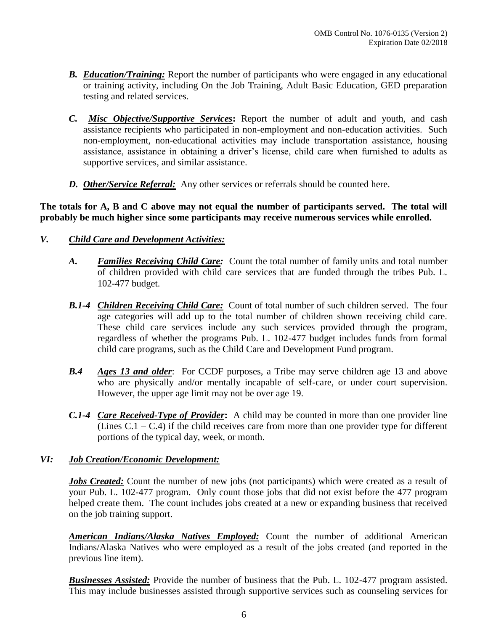- *B. Education/Training:* Report the number of participants who were engaged in any educational or training activity, including On the Job Training, Adult Basic Education, GED preparation testing and related services.
- *C. Misc Objective/Supportive Services***:** Report the number of adult and youth, and cash assistance recipients who participated in non-employment and non-education activities. Such non-employment, non-educational activities may include transportation assistance, housing assistance, assistance in obtaining a driver's license, child care when furnished to adults as supportive services, and similar assistance.
- *D. Other/Service Referral:* Any other services or referrals should be counted here.

**The totals for A, B and C above may not equal the number of participants served. The total will probably be much higher since some participants may receive numerous services while enrolled.**

## *V. Child Care and Development Activities:*

- *A. Families Receiving Child Care:*Count the total number of family units and total number of children provided with child care services that are funded through the tribes Pub. L. 102-477 budget.
- *B.1-4 Children Receiving Child Care:* Count of total number of such children served. The four age categories will add up to the total number of children shown receiving child care. These child care services include any such services provided through the program, regardless of whether the programs Pub. L. 102-477 budget includes funds from formal child care programs, such as the Child Care and Development Fund program.
- *B.4 Ages 13 and older*: For CCDF purposes, a Tribe may serve children age 13 and above who are physically and/or mentally incapable of self-care, or under court supervision. However, the upper age limit may not be over age 19.
- *C.1-4 Care Received-Type of Provider***:** A child may be counted in more than one provider line (Lines  $C.1 - C.4$ ) if the child receives care from more than one provider type for different portions of the typical day, week, or month.

#### *VI: Job Creation/Economic Development:*

*Jobs Created:* Count the number of new jobs (not participants) which were created as a result of your Pub. L. 102-477 program. Only count those jobs that did not exist before the 477 program helped create them. The count includes jobs created at a new or expanding business that received on the job training support.

*American Indians/Alaska Natives Employed:* Count the number of additional American Indians/Alaska Natives who were employed as a result of the jobs created (and reported in the previous line item).

*Businesses Assisted:* Provide the number of business that the Pub. L. 102-477 program assisted. This may include businesses assisted through supportive services such as counseling services for